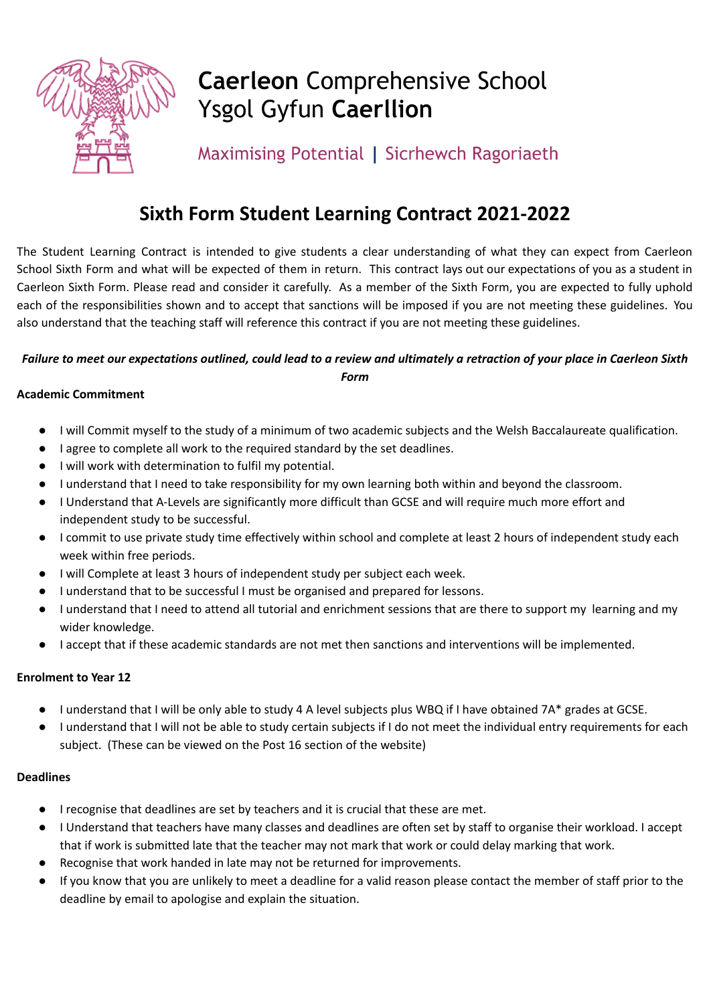

# **Caerleon Comprehensive School Ysgol Gyfun Caerllion**

Maximising Potential | Sicrhewch Ragoriaeth

## **Sixth Form Student Learning Contract 2021-2022**

The Student Learning Contract is intended to give students a clear understanding of what they can expect from Caerleon School Sixth Form and what will be expected of them in return. This contract lays out our expectations of you as a student in Caerleon Sixth Form. Please read and consider it carefully. As a member of the Sixth Form, you are expected to fully uphold each of the responsibilities shown and to accept that sanctions will be imposed if you are not meeting these guidelines. You also understand that the teaching staff will reference this contract if you are not meeting these guidelines.

### Failure to meet our expectations outlined, could lead to a review and ultimately a retraction of your place in Caerleon Sixth *Form*

#### **Academic Commitment**

- I will Commit myself to the study of a minimum of two academic subjects and the Welsh Baccalaureate qualification.
- I agree to complete all work to the required standard by the set deadlines.
- I will work with determination to fulfil my potential.
- I understand that I need to take responsibility for my own learning both within and beyond the classroom.
- I Understand that A-Levels are significantly more difficult than GCSE and will require much more effort and independent study to be successful.
- I commit to use private study time effectively within school and complete at least 2 hours of independent study each week within free periods.
- I will Complete at least 3 hours of independent study per subject each week.
- I understand that to be successful I must be organised and prepared for lessons.
- I understand that I need to attend all tutorial and enrichment sessions that are there to support my learning and my wider knowledge.
- I accept that if these academic standards are not met then sanctions and interventions will be implemented.

#### **Enrolment to Year 12**

- I understand that I will be only able to study 4 A level subjects plus WBQ if I have obtained 7A\* grades at GCSE.
- I understand that I will not be able to study certain subjects if I do not meet the individual entry requirements for each subject. (These can be viewed on the Post 16 section of the website)

#### **Deadlines**

- I recognise that deadlines are set by teachers and it is crucial that these are met.
- I Understand that teachers have many classes and deadlines are often set by staff to organise their workload. I accept that if work is submitted late that the teacher may not mark that work or could delay marking that work.
- Recognise that work handed in late may not be returned for improvements.
- If you know that you are unlikely to meet a deadline for a valid reason please contact the member of staff prior to the deadline by email to apologise and explain the situation.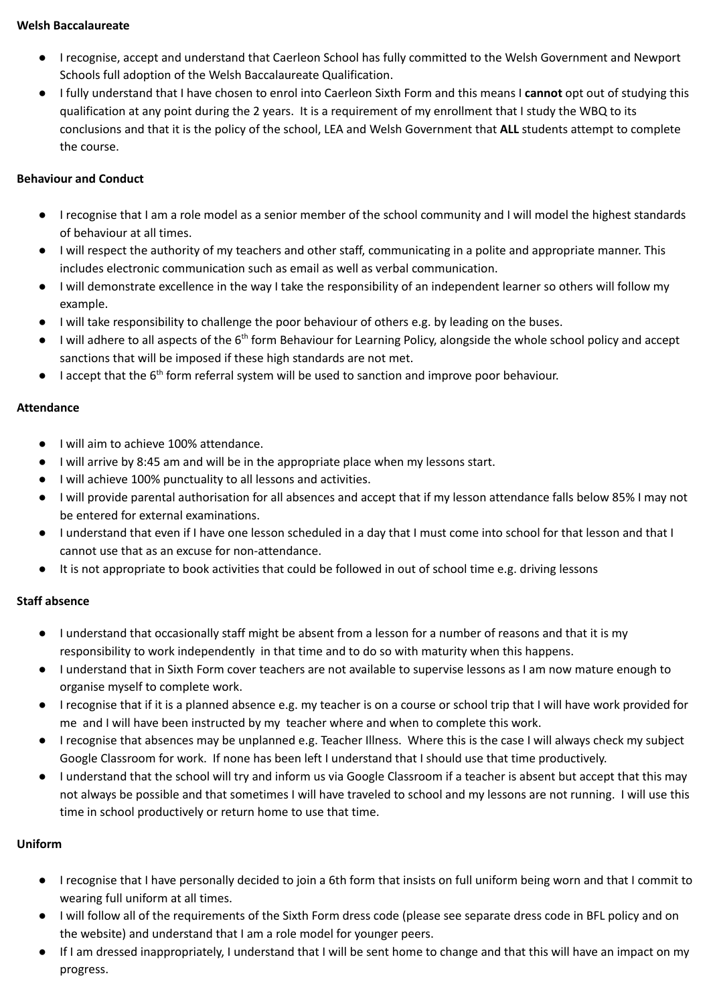#### **Welsh Baccalaureate**

- I recognise, accept and understand that Caerleon School has fully committed to the Welsh Government and Newport Schools full adoption of the Welsh Baccalaureate Qualification.
- I fully understand that I have chosen to enrol into Caerleon Sixth Form and this means I **cannot** opt out of studying this qualification at any point during the 2 years. It is a requirement of my enrollment that I study the WBQ to its conclusions and that it is the policy of the school, LEA and Welsh Government that **ALL** students attempt to complete the course.

#### **Behaviour and Conduct**

- I recognise that I am a role model as a senior member of the school community and I will model the highest standards of behaviour at all times.
- I will respect the authority of my teachers and other staff, communicating in a polite and appropriate manner. This includes electronic communication such as email as well as verbal communication.
- I will demonstrate excellence in the way I take the responsibility of an independent learner so others will follow my example.
- I will take responsibility to challenge the poor behaviour of others e.g. by leading on the buses.
- I will adhere to all aspects of the 6<sup>th</sup> form Behaviour for Learning Policy, alongside the whole school policy and accept sanctions that will be imposed if these high standards are not met.
- I accept that the 6<sup>th</sup> form referral system will be used to sanction and improve poor behaviour.

#### **Attendance**

- I will aim to achieve 100% attendance.
- I will arrive by 8:45 am and will be in the appropriate place when my lessons start.
- I will achieve 100% punctuality to all lessons and activities.
- I will provide parental authorisation for all absences and accept that if my lesson attendance falls below 85% I may not be entered for external examinations.
- I understand that even if I have one lesson scheduled in a day that I must come into school for that lesson and that I cannot use that as an excuse for non-attendance.
- It is not appropriate to book activities that could be followed in out of school time e.g. driving lessons

#### **Staff absence**

- I understand that occasionally staff might be absent from a lesson for a number of reasons and that it is my responsibility to work independently in that time and to do so with maturity when this happens.
- I understand that in Sixth Form cover teachers are not available to supervise lessons as I am now mature enough to organise myself to complete work.
- I recognise that if it is a planned absence e.g. my teacher is on a course or school trip that I will have work provided for me and I will have been instructed by my teacher where and when to complete this work.
- I recognise that absences may be unplanned e.g. Teacher Illness. Where this is the case I will always check my subject Google Classroom for work. If none has been left I understand that I should use that time productively.
- I understand that the school will try and inform us via Google Classroom if a teacher is absent but accept that this may not always be possible and that sometimes I will have traveled to school and my lessons are not running. I will use this time in school productively or return home to use that time.

#### **Uniform**

- I recognise that I have personally decided to join a 6th form that insists on full uniform being worn and that I commit to wearing full uniform at all times.
- I will follow all of the requirements of the Sixth Form dress code (please see separate dress code in BFL policy and on the website) and understand that I am a role model for younger peers.
- If I am dressed inappropriately, I understand that I will be sent home to change and that this will have an impact on my progress.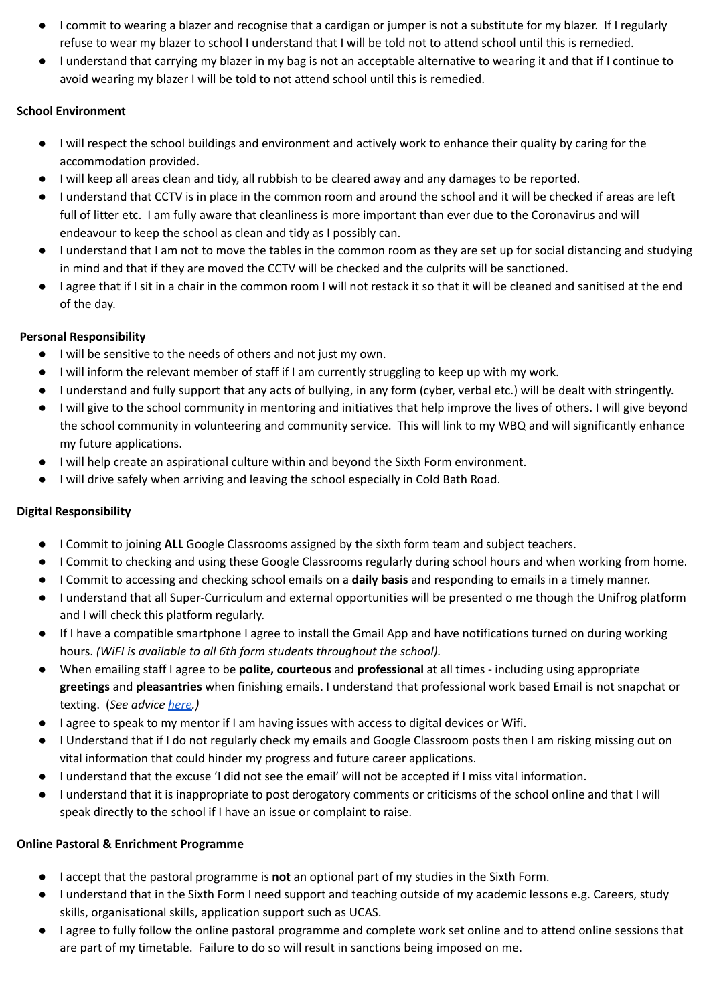- I commit to wearing a blazer and recognise that a cardigan or jumper is not a substitute for my blazer. If I regularly refuse to wear my blazer to school I understand that I will be told not to attend school until this is remedied.
- I understand that carrying my blazer in my bag is not an acceptable alternative to wearing it and that if I continue to avoid wearing my blazer I will be told to not attend school until this is remedied.

#### **School Environment**

- I will respect the school buildings and environment and actively work to enhance their quality by caring for the accommodation provided.
- I will keep all areas clean and tidy, all rubbish to be cleared away and any damages to be reported.
- I understand that CCTV is in place in the common room and around the school and it will be checked if areas are left full of litter etc. I am fully aware that cleanliness is more important than ever due to the Coronavirus and will endeavour to keep the school as clean and tidy as I possibly can.
- I understand that I am not to move the tables in the common room as they are set up for social distancing and studying in mind and that if they are moved the CCTV will be checked and the culprits will be sanctioned.
- I agree that if I sit in a chair in the common room I will not restack it so that it will be cleaned and sanitised at the end of the day.

#### **Personal Responsibility**

- I will be sensitive to the needs of others and not just my own.
- I will inform the relevant member of staff if I am currently struggling to keep up with my work.
- I understand and fully support that any acts of bullying, in any form (cyber, verbal etc.) will be dealt with stringently.
- I will give to the school community in mentoring and initiatives that help improve the lives of others. I will give beyond the school community in volunteering and community service. This will link to my WBQ and will significantly enhance my future applications.
- I will help create an aspirational culture within and beyond the Sixth Form environment.
- I will drive safely when arriving and leaving the school especially in Cold Bath Road.

#### **Digital Responsibility**

- I Commit to joining **ALL** Google Classrooms assigned by the sixth form team and subject teachers.
- I Commit to checking and using these Google Classrooms regularly during school hours and when working from home.
- I Commit to accessing and checking school emails on a **daily basis** and responding to emails in a timely manner.
- I understand that all Super-Curriculum and external opportunities will be presented o me though the Unifrog platform and I will check this platform regularly.
- If I have a compatible smartphone I agree to install the Gmail App and have notifications turned on during working hours. *(WiFI is available to all 6th form students throughout the school).*
- When emailing staff I agree to be **polite, courteous** and **professional** at all times including using appropriate **greetings** and **pleasantries** when finishing emails. I understand that professional work based Email is not snapchat or texting. (*See advice [here.](https://www.thebalancecareers.com/how-to-write-and-send-professional-email-messages-2061892))*
- I agree to speak to my mentor if I am having issues with access to digital devices or Wifi.
- I Understand that if I do not regularly check my emails and Google Classroom posts then I am risking missing out on vital information that could hinder my progress and future career applications.
- I understand that the excuse 'I did not see the email' will not be accepted if I miss vital information.
- I understand that it is inappropriate to post derogatory comments or criticisms of the school online and that I will speak directly to the school if I have an issue or complaint to raise.

#### **Online Pastoral & Enrichment Programme**

- I accept that the pastoral programme is **not** an optional part of my studies in the Sixth Form.
- I understand that in the Sixth Form I need support and teaching outside of my academic lessons e.g. Careers, study skills, organisational skills, application support such as UCAS.
- I agree to fully follow the online pastoral programme and complete work set online and to attend online sessions that are part of my timetable. Failure to do so will result in sanctions being imposed on me.